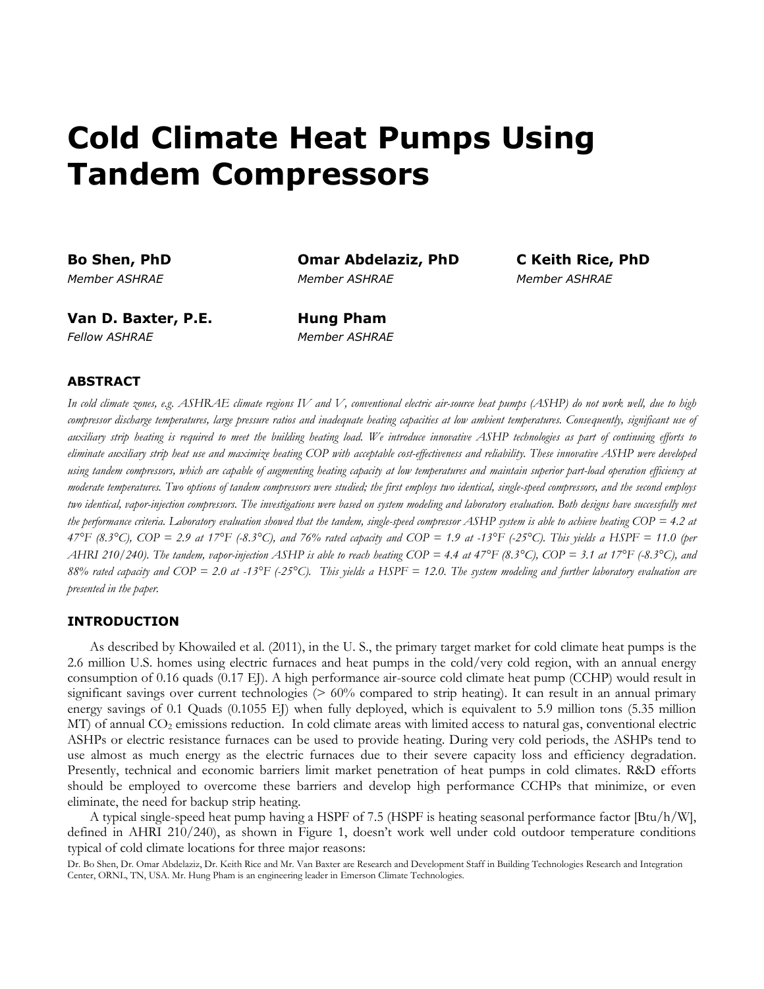# **Cold Climate Heat Pumps Using Tandem Compressors**

**Bo Shen, PhD Omar Abdelaziz, PhD C Keith Rice, PhD** *Member ASHRAE Member ASHRAE Member ASHRAE*

**Van D. Baxter, P.E. Hung Pham** *Fellow ASHRAE Member ASHRAE*

## **ABSTRACT**

*In cold climate zones, e.g. ASHRAE climate regions IV and V, conventional electric air-source heat pumps (ASHP) do not work well, due to high compressor discharge temperatures, large pressure ratios and inadequate heating capacities at low ambient temperatures. Consequently, significant use of auxiliary strip heating is required to meet the building heating load. We introduce innovative ASHP technologies as part of continuing efforts to eliminate auxiliary strip heat use and maximize heating COP with acceptable cost-effectiveness and reliability. These innovative ASHP were developed*  using tandem compressors, which are capable of augmenting heating capacity at low temperatures and maintain superior part-load operation efficiency at *moderate temperatures. Two options of tandem compressors were studied; the first employs two identical, single-speed compressors, and the second employs two identical, vapor-injection compressors. The investigations were based on system modeling and laboratory evaluation. Both designs have successfully met the performance criteria. Laboratory evaluation showed that the tandem, single-speed compressor ASHP system is able to achieve heating COP = 4.2 at 47°F (8.3°C), COP = 2.9 at 17°F (-8.3°C), and 76% rated capacity and COP = 1.9 at -13°F (-25°C). This yields a HSPF = 11.0 (per AHRI 210/240). The tandem, vapor-injection ASHP is able to reach heating COP = 4.4 at 47°F (8.3°C), COP = 3.1 at 17°F (-8.3°C), and 88% rated capacity and COP = 2.0 at -13°F (-25°C). This yields a HSPF = 12.0. The system modeling and further laboratory evaluation are presented in the paper.*

#### **INTRODUCTION**

As described by Khowailed et al. (2011), in the U. S., the primary target market for cold climate heat pumps is the 2.6 million U.S. homes using electric furnaces and heat pumps in the cold/very cold region, with an annual energy consumption of 0.16 quads (0.17 EJ). A high performance air-source cold climate heat pump (CCHP) would result in significant savings over current technologies (> 60% compared to strip heating). It can result in an annual primary energy savings of 0.1 Quads (0.1055 EJ) when fully deployed, which is equivalent to 5.9 million tons (5.35 million MT) of annual CO<sub>2</sub> emissions reduction. In cold climate areas with limited access to natural gas, conventional electric ASHPs or electric resistance furnaces can be used to provide heating. During very cold periods, the ASHPs tend to use almost as much energy as the electric furnaces due to their severe capacity loss and efficiency degradation. Presently, technical and economic barriers limit market penetration of heat pumps in cold climates. R&D efforts should be employed to overcome these barriers and develop high performance CCHPs that minimize, or even eliminate, the need for backup strip heating.

A typical single-speed heat pump having a HSPF of 7.5 (HSPF is heating seasonal performance factor [Btu/h/W], defined in AHRI 210/240), as shown in Figure 1, doesn't work well under cold outdoor temperature conditions typical of cold climate locations for three major reasons:

Dr. Bo Shen, Dr. Omar Abdelaziz, Dr. Keith Rice and Mr. Van Baxter are Research and Development Staff in Building Technologies Research and Integration Center, ORNL, TN, USA. Mr. Hung Pham is an engineering leader in Emerson Climate Technologies.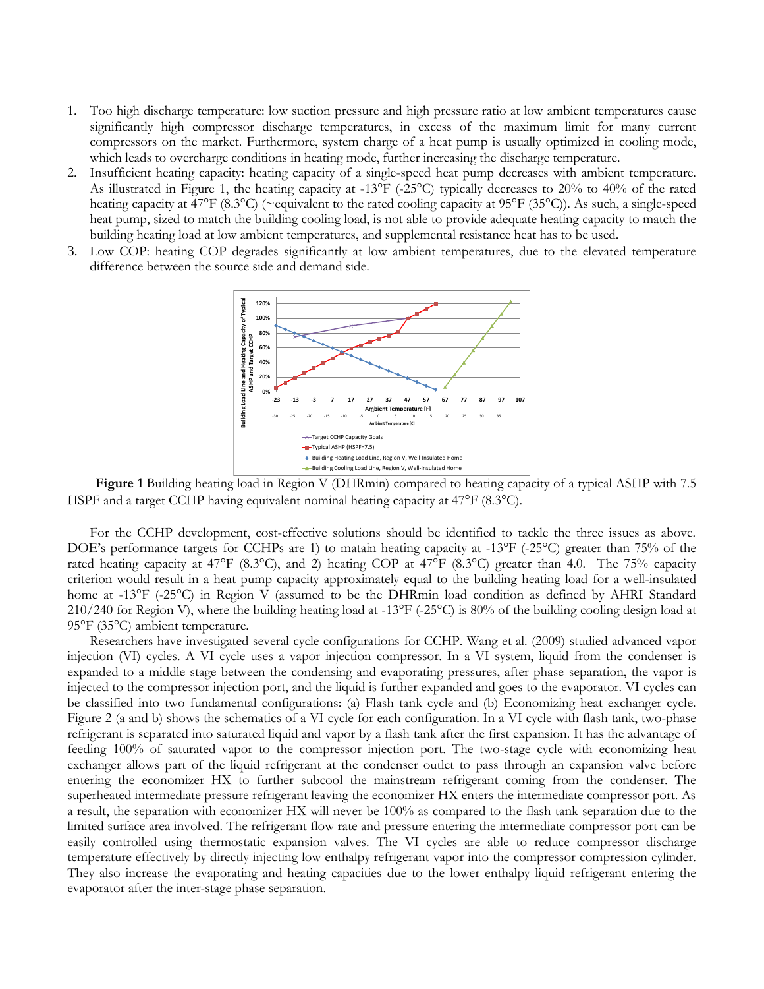- 1. Too high discharge temperature: low suction pressure and high pressure ratio at low ambient temperatures cause significantly high compressor discharge temperatures, in excess of the maximum limit for many current compressors on the market. Furthermore, system charge of a heat pump is usually optimized in cooling mode, which leads to overcharge conditions in heating mode, further increasing the discharge temperature.
- 2. Insufficient heating capacity: heating capacity of a single-speed heat pump decreases with ambient temperature. As illustrated in Figure 1, the heating capacity at -13°F (-25°C) typically decreases to 20% to 40% of the rated heating capacity at 47°F (8.3°C) (~equivalent to the rated cooling capacity at 95°F (35°C)). As such, a single-speed heat pump, sized to match the building cooling load, is not able to provide adequate heating capacity to match the building heating load at low ambient temperatures, and supplemental resistance heat has to be used.
- 3. Low COP: heating COP degrades significantly at low ambient temperatures, due to the elevated temperature difference between the source side and demand side.



**Figure 1** Building heating load in Region V (DHRmin) compared to heating capacity of a typical ASHP with 7.5 HSPF and a target CCHP having equivalent nominal heating capacity at 47°F (8.3°C).

For the CCHP development, cost-effective solutions should be identified to tackle the three issues as above. DOE's performance targets for CCHPs are 1) to matain heating capacity at -13°F (-25°C) greater than 75% of the rated heating capacity at 47°F (8.3°C), and 2) heating COP at 47°F (8.3°C) greater than 4.0. The 75% capacity criterion would result in a heat pump capacity approximately equal to the building heating load for a well-insulated home at -13°F (-25°C) in Region V (assumed to be the DHRmin load condition as defined by AHRI Standard 210/240 for Region V), where the building heating load at -13°F (-25°C) is 80% of the building cooling design load at 95°F (35°C) ambient temperature.

Researchers have investigated several cycle configurations for CCHP. Wang et al. (2009) studied advanced vapor injection (VI) cycles. A VI cycle uses a vapor injection compressor. In a VI system, liquid from the condenser is expanded to a middle stage between the condensing and evaporating pressures, after phase separation, the vapor is injected to the compressor injection port, and the liquid is further expanded and goes to the evaporator. VI cycles can be classified into two fundamental configurations: (a) Flash tank cycle and (b) Economizing heat exchanger cycle. Figure 2 (a and b) shows the schematics of a VI cycle for each configuration. In a VI cycle with flash tank, two-phase refrigerant is separated into saturated liquid and vapor by a flash tank after the first expansion. It has the advantage of feeding 100% of saturated vapor to the compressor injection port. The two-stage cycle with economizing heat exchanger allows part of the liquid refrigerant at the condenser outlet to pass through an expansion valve before entering the economizer HX to further subcool the mainstream refrigerant coming from the condenser. The superheated intermediate pressure refrigerant leaving the economizer HX enters the intermediate compressor port. As a result, the separation with economizer HX will never be 100% as compared to the flash tank separation due to the limited surface area involved. The refrigerant flow rate and pressure entering the intermediate compressor port can be easily controlled using thermostatic expansion valves. The VI cycles are able to reduce compressor discharge temperature effectively by directly injecting low enthalpy refrigerant vapor into the compressor compression cylinder. They also increase the evaporating and heating capacities due to the lower enthalpy liquid refrigerant entering the evaporator after the inter-stage phase separation.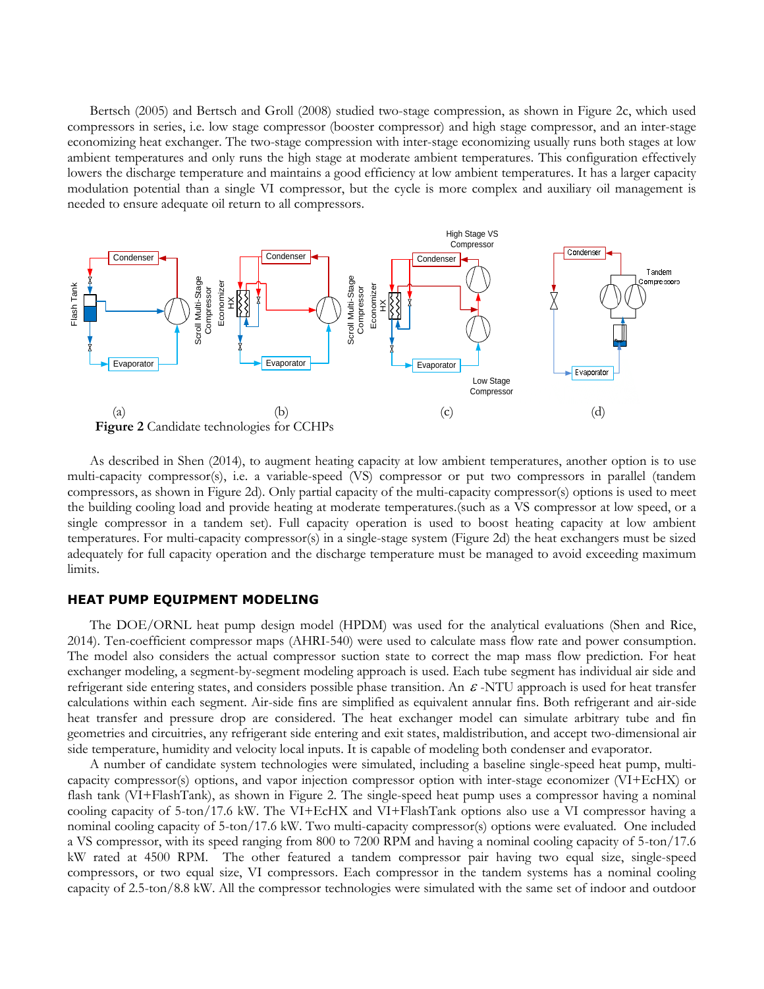Bertsch (2005) and Bertsch and Groll (2008) studied two-stage compression, as shown in Figure 2c, which used compressors in series, i.e. low stage compressor (booster compressor) and high stage compressor, and an inter-stage economizing heat exchanger. The two-stage compression with inter-stage economizing usually runs both stages at low ambient temperatures and only runs the high stage at moderate ambient temperatures. This configuration effectively lowers the discharge temperature and maintains a good efficiency at low ambient temperatures. It has a larger capacity modulation potential than a single VI compressor, but the cycle is more complex and auxiliary oil management is needed to ensure adequate oil return to all compressors.



As described in Shen (2014), to augment heating capacity at low ambient temperatures, another option is to use multi-capacity compressor(s), i.e. a variable-speed (VS) compressor or put two compressors in parallel (tandem compressors, as shown in Figure 2d). Only partial capacity of the multi-capacity compressor(s) options is used to meet the building cooling load and provide heating at moderate temperatures.(such as a VS compressor at low speed, or a single compressor in a tandem set). Full capacity operation is used to boost heating capacity at low ambient temperatures. For multi-capacity compressor(s) in a single-stage system (Figure 2d) the heat exchangers must be sized adequately for full capacity operation and the discharge temperature must be managed to avoid exceeding maximum limits.

## **HEAT PUMP EQUIPMENT MODELING**

The DOE/ORNL heat pump design model (HPDM) was used for the analytical evaluations (Shen and Rice, 2014). Ten-coefficient compressor maps (AHRI-540) were used to calculate mass flow rate and power consumption. The model also considers the actual compressor suction state to correct the map mass flow prediction. For heat exchanger modeling, a segment-by-segment modeling approach is used. Each tube segment has individual air side and refrigerant side entering states, and considers possible phase transition. An  $\varepsilon$ -NTU approach is used for heat transfer calculations within each segment. Air-side fins are simplified as equivalent annular fins. Both refrigerant and air-side heat transfer and pressure drop are considered. The heat exchanger model can simulate arbitrary tube and fin geometries and circuitries, any refrigerant side entering and exit states, maldistribution, and accept two-dimensional air side temperature, humidity and velocity local inputs. It is capable of modeling both condenser and evaporator.

A number of candidate system technologies were simulated, including a baseline single-speed heat pump, multicapacity compressor(s) options, and vapor injection compressor option with inter-stage economizer (VI+EcHX) or flash tank (VI+FlashTank), as shown in Figure 2. The single-speed heat pump uses a compressor having a nominal cooling capacity of 5-ton/17.6 kW. The VI+EcHX and VI+FlashTank options also use a VI compressor having a nominal cooling capacity of 5-ton/17.6 kW. Two multi-capacity compressor(s) options were evaluated. One included a VS compressor, with its speed ranging from 800 to 7200 RPM and having a nominal cooling capacity of 5-ton/17.6 kW rated at 4500 RPM. The other featured a tandem compressor pair having two equal size, single-speed compressors, or two equal size, VI compressors. Each compressor in the tandem systems has a nominal cooling capacity of 2.5-ton/8.8 kW. All the compressor technologies were simulated with the same set of indoor and outdoor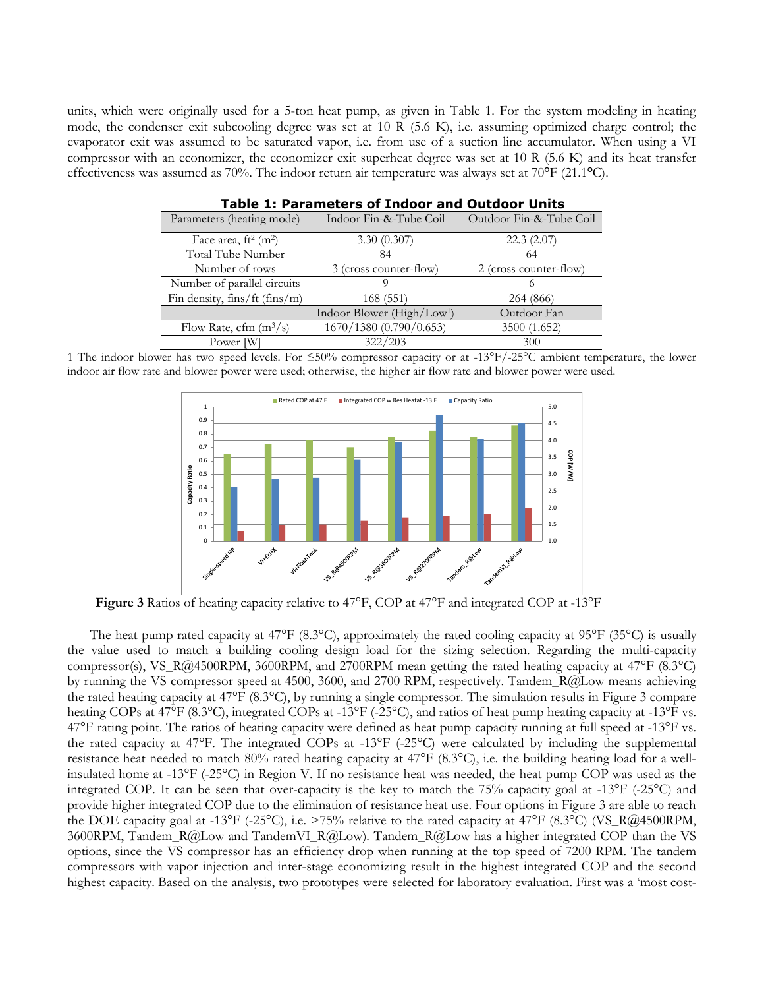units, which were originally used for a 5-ton heat pump, as given in Table 1. For the system modeling in heating mode, the condenser exit subcooling degree was set at 10 R (5.6 K), i.e. assuming optimized charge control; the evaporator exit was assumed to be saturated vapor, i.e. from use of a suction line accumulator. When using a VI compressor with an economizer, the economizer exit superheat degree was set at 10 R (5.6 K) and its heat transfer effectiveness was assumed as 70%. The indoor return air temperature was always set at 70**°**F (21.1**°**C).

| <b>Table 1: Parameters of Indoor and Outdoor Units</b> |                                        |                         |  |  |  |
|--------------------------------------------------------|----------------------------------------|-------------------------|--|--|--|
| Parameters (heating mode)                              | Indoor Fin-&-Tube Coil                 | Outdoor Fin-&-Tube Coil |  |  |  |
| Face area, $ft^2$ (m <sup>2</sup> )                    | 3.30(0.307)                            | 22.3(2.07)              |  |  |  |
| Total Tube Number                                      | 84                                     | 64                      |  |  |  |
| Number of rows                                         | 3 (cross counter-flow)                 | 2 (cross counter-flow)  |  |  |  |
| Number of parallel circuits                            |                                        |                         |  |  |  |
| Fin density, $fins/ft$ (fins/m)                        | 168(551)                               | 264 (866)               |  |  |  |
|                                                        | Indoor Blower (High/Low <sup>1</sup> ) | Outdoor Fan             |  |  |  |
| Flow Rate, cfm $(m^3/s)$                               | 1670/1380 (0.790/0.653)                | 3500 (1.652)            |  |  |  |
| Power [W]                                              | 322/203                                | 300                     |  |  |  |

1 The indoor blower has two speed levels. For ≤50% compressor capacity or at -13°F/-25°C ambient temperature, the lower indoor air flow rate and blower power were used; otherwise, the higher air flow rate and blower power were used.



**Figure 3** Ratios of heating capacity relative to 47°F, COP at 47°F and integrated COP at -13°F

The heat pump rated capacity at  $47^{\circ}F(8.3^{\circ}C)$ , approximately the rated cooling capacity at  $95^{\circ}F(35^{\circ}C)$  is usually the value used to match a building cooling design load for the sizing selection. Regarding the multi-capacity compressor(s), VS\_R@4500RPM, 3600RPM, and 2700RPM mean getting the rated heating capacity at 47°F (8.3°C) by running the VS compressor speed at 4500, 3600, and 2700 RPM, respectively. Tandem\_R@Low means achieving the rated heating capacity at 47°F (8.3°C), by running a single compressor. The simulation results in Figure 3 compare heating COPs at 47°F (8.3°C), integrated COPs at -13°F (-25°C), and ratios of heat pump heating capacity at -13°F vs. 47°F rating point. The ratios of heating capacity were defined as heat pump capacity running at full speed at -13°F vs. the rated capacity at 47°F. The integrated COPs at -13°F (-25°C) were calculated by including the supplemental resistance heat needed to match 80% rated heating capacity at 47°F (8.3°C), i.e. the building heating load for a wellinsulated home at -13°F (-25°C) in Region V. If no resistance heat was needed, the heat pump COP was used as the integrated COP. It can be seen that over-capacity is the key to match the 75% capacity goal at -13°F (-25°C) and provide higher integrated COP due to the elimination of resistance heat use. Four options in Figure 3 are able to reach the DOE capacity goal at -13°F (-25°C), i.e. >75% relative to the rated capacity at 47°F (8.3°C) (VS\_R@4500RPM, 3600RPM, Tandem\_R@Low and TandemVI\_R@Low). Tandem\_R@Low has a higher integrated COP than the VS options, since the VS compressor has an efficiency drop when running at the top speed of 7200 RPM. The tandem compressors with vapor injection and inter-stage economizing result in the highest integrated COP and the second highest capacity. Based on the analysis, two prototypes were selected for laboratory evaluation. First was a 'most cost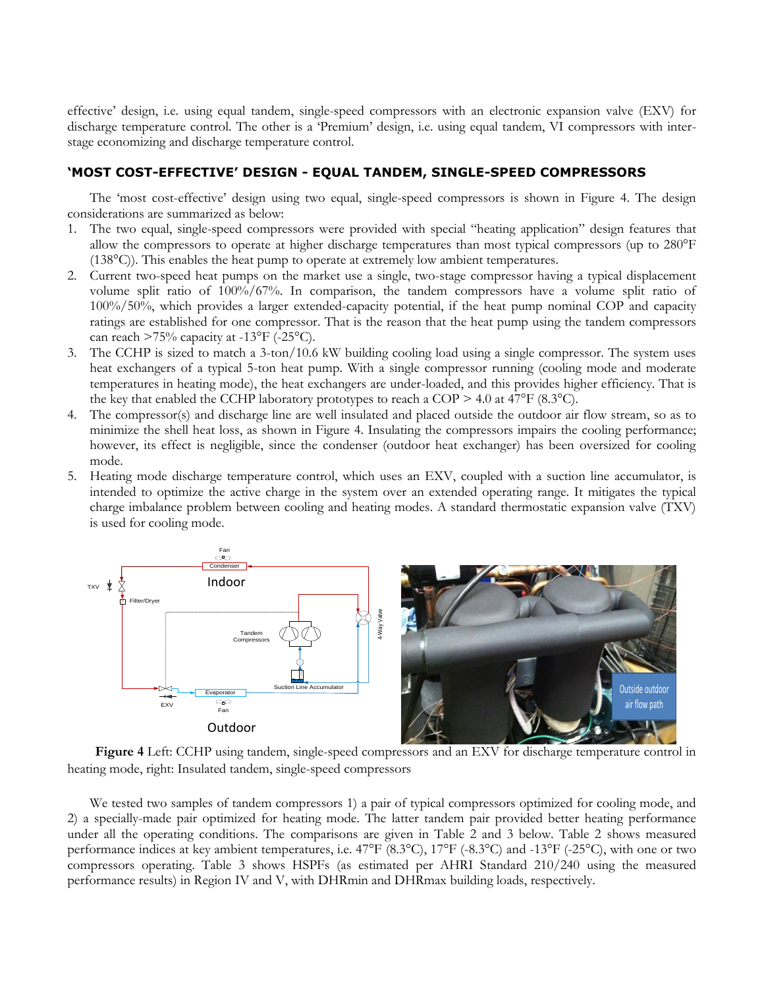effective' design, i.e. using equal tandem, single-speed compressors with an electronic expansion valve (EXV) for discharge temperature control. The other is a 'Premium' design, i.e. using equal tandem, VI compressors with interstage economizing and discharge temperature control.

## **'MOST COST-EFFECTIVE' DESIGN - EQUAL TANDEM, SINGLE-SPEED COMPRESSORS**

The 'most cost-effective' design using two equal, single-speed compressors is shown in Figure 4. The design considerations are summarized as below:

- 1. The two equal, single-speed compressors were provided with special "heating application" design features that allow the compressors to operate at higher discharge temperatures than most typical compressors (up to 280°F (138°C)). This enables the heat pump to operate at extremely low ambient temperatures.
- 2. Current two-speed heat pumps on the market use a single, two-stage compressor having a typical displacement volume split ratio of 100%/67%. In comparison, the tandem compressors have a volume split ratio of 100%/50%, which provides a larger extended-capacity potential, if the heat pump nominal COP and capacity ratings are established for one compressor. That is the reason that the heat pump using the tandem compressors can reach  $>75\%$  capacity at -13°F (-25°C).
- 3. The CCHP is sized to match a 3-ton/10.6 kW building cooling load using a single compressor. The system uses heat exchangers of a typical 5-ton heat pump. With a single compressor running (cooling mode and moderate temperatures in heating mode), the heat exchangers are under-loaded, and this provides higher efficiency. That is the key that enabled the CCHP laboratory prototypes to reach a COP  $> 4.0$  at 47°F (8.3°C).
- 4. The compressor(s) and discharge line are well insulated and placed outside the outdoor air flow stream, so as to minimize the shell heat loss, as shown in Figure 4. Insulating the compressors impairs the cooling performance; however, its effect is negligible, since the condenser (outdoor heat exchanger) has been oversized for cooling mode.
- 5. Heating mode discharge temperature control, which uses an EXV, coupled with a suction line accumulator, is intended to optimize the active charge in the system over an extended operating range. It mitigates the typical charge imbalance problem between cooling and heating modes. A standard thermostatic expansion valve (TXV) is used for cooling mode.



**Figure 4** Left: CCHP using tandem, single-speed compressors and an EXV for discharge temperature control in heating mode, right: Insulated tandem, single-speed compressors

We tested two samples of tandem compressors 1) a pair of typical compressors optimized for cooling mode, and 2) a specially-made pair optimized for heating mode. The latter tandem pair provided better heating performance under all the operating conditions. The comparisons are given in Table 2 and 3 below. Table 2 shows measured performance indices at key ambient temperatures, i.e. 47°F (8.3°C), 17°F (-8.3°C) and -13°F (-25°C), with one or two compressors operating. Table 3 shows HSPFs (as estimated per AHRI Standard 210/240 using the measured performance results) in Region IV and V, with DHRmin and DHRmax building loads, respectively.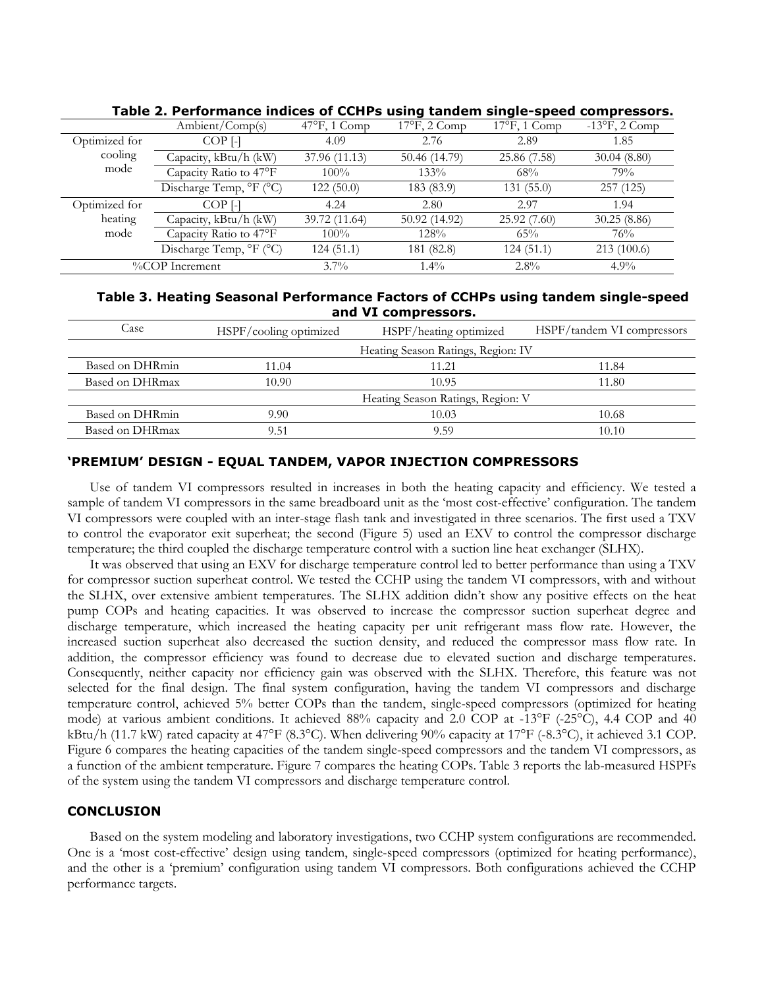|               | Ambient/Comp(s)         | $47^{\circ}$ F, 1 Comp | - - - -<br>$17^{\circ}$ F, 2 Comp | $17^{\circ}$ F, 1 Comp | $-13$ °F, 2 Comp |
|---------------|-------------------------|------------------------|-----------------------------------|------------------------|------------------|
| Optimized for | $COP$ [-]               | 4.09                   | 2.76                              | 2.89                   | 1.85             |
| cooling       | Capacity, kBtu/h (kW)   | 37.96 (11.13)          | 50.46 (14.79)                     | 25.86 (7.58)           | 30.04(8.80)      |
| mode          | Capacity Ratio to 47°F  | $100\%$                | 133%                              | 68%                    | 79%              |
|               | Discharge Temp, °F (°C) | 122(50.0)              | 183 (83.9)                        | 131(55.0)              | 257(125)         |
| Optimized for | COP <sub>[-1]</sub>     | 4.24                   | 2.80                              | 2.97                   | 1.94             |
| heating       | Capacity, kBtu/h (kW)   | 39.72 (11.64)          | 50.92 (14.92)                     | 25.92(7.60)            | 30.25(8.86)      |
| mode          | Capacity Ratio to 47°F  | $100\%$                | 128%                              | 65%                    | 76%              |
|               | Discharge Temp, °F (°C) | 124(51.1)              | 181 (82.8)                        | 124 (51.1)             | 213(100.6)       |
|               | %COP Increment          | $3.7\%$                | $1.4\%$                           | $2.8\%$                | $4.9\%$          |

**Table 2. Performance indices of CCHPs using tandem single-speed compressors.**

## **Table 3. Heating Seasonal Performance Factors of CCHPs using tandem single-speed and VI compressors.**

| Case            | HSPF/cooling optimized | HSPF/heating optimized             | HSPF/tandem VI compressors |
|-----------------|------------------------|------------------------------------|----------------------------|
|                 |                        | Heating Season Ratings, Region: IV |                            |
| Based on DHRmin | 11.04                  | 11.21                              | 11.84                      |
| Based on DHRmax | 10.90                  | 10.95                              | 1.80                       |
|                 |                        | Heating Season Ratings, Region: V  |                            |
| Based on DHRmin | 9.90                   | 10.03                              | 10.68                      |
| Based on DHRmax | 9.51                   | 9.59                               | 10.10                      |

## **'PREMIUM' DESIGN - EQUAL TANDEM, VAPOR INJECTION COMPRESSORS**

Use of tandem VI compressors resulted in increases in both the heating capacity and efficiency. We tested a sample of tandem VI compressors in the same breadboard unit as the 'most cost-effective' configuration. The tandem VI compressors were coupled with an inter-stage flash tank and investigated in three scenarios. The first used a TXV to control the evaporator exit superheat; the second (Figure 5) used an EXV to control the compressor discharge temperature; the third coupled the discharge temperature control with a suction line heat exchanger (SLHX).

It was observed that using an EXV for discharge temperature control led to better performance than using a TXV for compressor suction superheat control. We tested the CCHP using the tandem VI compressors, with and without the SLHX, over extensive ambient temperatures. The SLHX addition didn't show any positive effects on the heat pump COPs and heating capacities. It was observed to increase the compressor suction superheat degree and discharge temperature, which increased the heating capacity per unit refrigerant mass flow rate. However, the increased suction superheat also decreased the suction density, and reduced the compressor mass flow rate. In addition, the compressor efficiency was found to decrease due to elevated suction and discharge temperatures. Consequently, neither capacity nor efficiency gain was observed with the SLHX. Therefore, this feature was not selected for the final design. The final system configuration, having the tandem VI compressors and discharge temperature control, achieved 5% better COPs than the tandem, single-speed compressors (optimized for heating mode) at various ambient conditions. It achieved 88% capacity and 2.0 COP at -13°F (-25°C), 4.4 COP and 40 kBtu/h (11.7 kW) rated capacity at 47°F (8.3°C). When delivering 90% capacity at 17°F (-8.3°C), it achieved 3.1 COP. Figure 6 compares the heating capacities of the tandem single-speed compressors and the tandem VI compressors, as a function of the ambient temperature. Figure 7 compares the heating COPs. Table 3 reports the lab-measured HSPFs of the system using the tandem VI compressors and discharge temperature control.

## **CONCLUSION**

Based on the system modeling and laboratory investigations, two CCHP system configurations are recommended. One is a 'most cost-effective' design using tandem, single-speed compressors (optimized for heating performance), and the other is a 'premium' configuration using tandem VI compressors. Both configurations achieved the CCHP performance targets.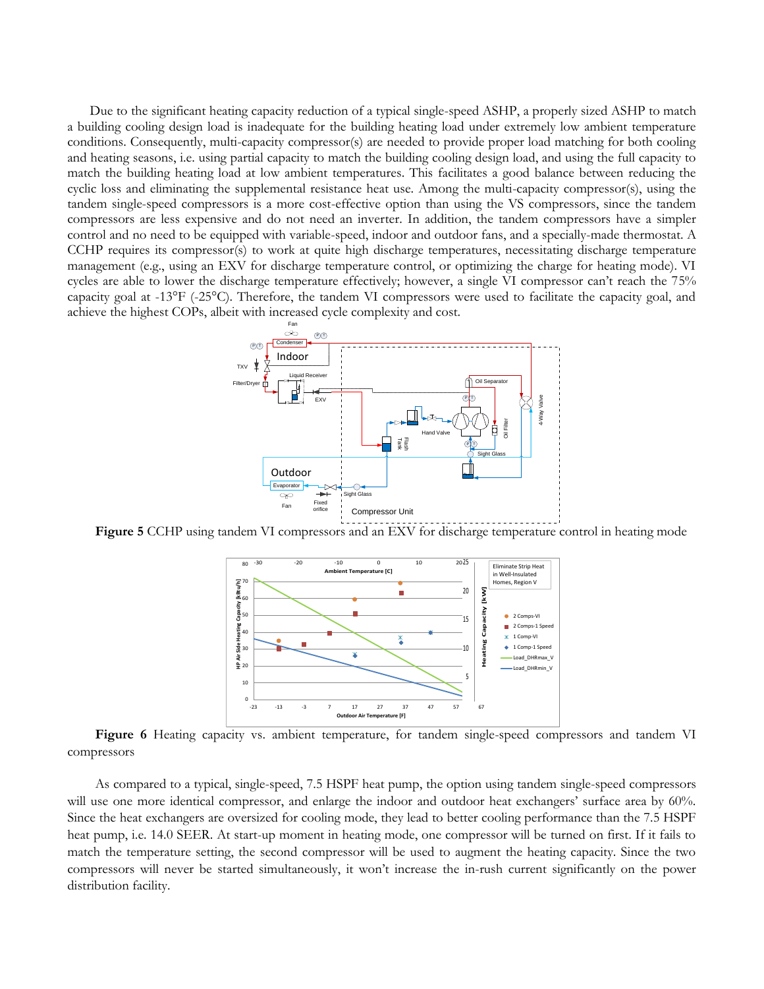Due to the significant heating capacity reduction of a typical single-speed ASHP, a properly sized ASHP to match a building cooling design load is inadequate for the building heating load under extremely low ambient temperature conditions. Consequently, multi-capacity compressor(s) are needed to provide proper load matching for both cooling and heating seasons, i.e. using partial capacity to match the building cooling design load, and using the full capacity to match the building heating load at low ambient temperatures. This facilitates a good balance between reducing the cyclic loss and eliminating the supplemental resistance heat use. Among the multi-capacity compressor(s), using the tandem single-speed compressors is a more cost-effective option than using the VS compressors, since the tandem compressors are less expensive and do not need an inverter. In addition, the tandem compressors have a simpler control and no need to be equipped with variable-speed, indoor and outdoor fans, and a specially-made thermostat. A CCHP requires its compressor(s) to work at quite high discharge temperatures, necessitating discharge temperature management (e.g., using an EXV for discharge temperature control, or optimizing the charge for heating mode). VI cycles are able to lower the discharge temperature effectively; however, a single VI compressor can't reach the 75% capacity goal at -13°F (-25°C). Therefore, the tandem VI compressors were used to facilitate the capacity goal, and achieve the highest COPs, albeit with increased cycle complexity and cost.



Figure 5 CCHP using tandem VI compressors and an EXV for discharge temperature control in heating mode



Figure 6 Heating capacity vs. ambient temperature, for tandem single-speed compressors and tandem VI compressors

As compared to a typical, single-speed, 7.5 HSPF heat pump, the option using tandem single-speed compressors will use one more identical compressor, and enlarge the indoor and outdoor heat exchangers' surface area by 60%. Since the heat exchangers are oversized for cooling mode, they lead to better cooling performance than the 7.5 HSPF heat pump, i.e. 14.0 SEER. At start-up moment in heating mode, one compressor will be turned on first. If it fails to match the temperature setting, the second compressor will be used to augment the heating capacity. Since the two compressors will never be started simultaneously, it won't increase the in-rush current significantly on the power distribution facility.